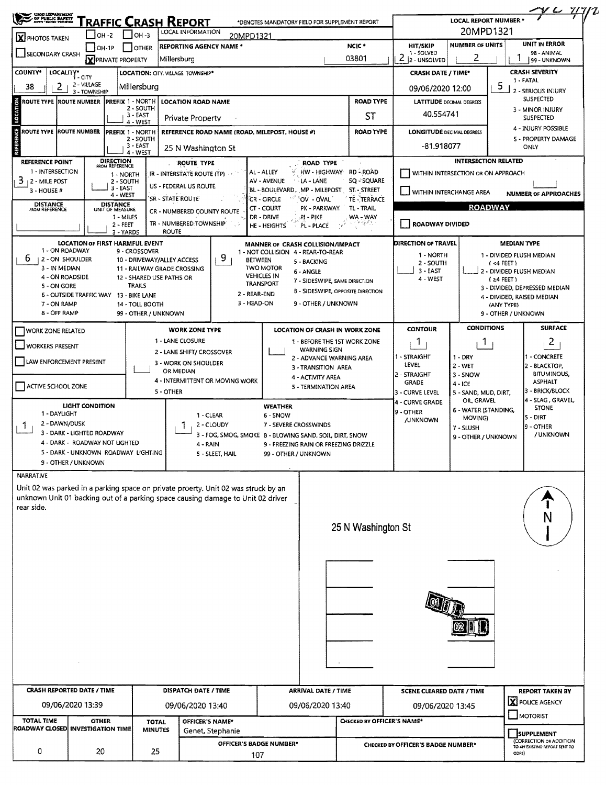| SHOO LIZPANTIKENT<br>SI PUBLIC BAPETY<br>SI PUSSI-NOSSI                                                                                    |                                                              |                                                         |                                         | Traffic Crash Report<br>LOCAL INFORMATION                                                                                                                             |                                | *DENOTES MANDATORY FIELD FOR SUPPLEMENT REPORT                |                                                 |                                                      |                                                               | <b>LOCAL REPORT NUMBER</b>                   |                                   | $Y$                                                         |  |
|--------------------------------------------------------------------------------------------------------------------------------------------|--------------------------------------------------------------|---------------------------------------------------------|-----------------------------------------|-----------------------------------------------------------------------------------------------------------------------------------------------------------------------|--------------------------------|---------------------------------------------------------------|-------------------------------------------------|------------------------------------------------------|---------------------------------------------------------------|----------------------------------------------|-----------------------------------|-------------------------------------------------------------|--|
| $\Gamma$ low-3<br><b>OH -2</b><br>X PHOTOS TAKEN                                                                                           |                                                              |                                                         |                                         |                                                                                                                                                                       |                                | 20MPD1321                                                     |                                                 | 20MPD1321<br>UNIT IN ERROR<br><b>NUMBER OF UNITS</b> |                                                               |                                              |                                   |                                                             |  |
| SECONDARY CRASH                                                                                                                            |                                                              | $ OH-1P$<br><b>X</b> PRIVATE PROPERTY                   | <b>OTHER</b>                            | <b>REPORTING AGENCY NAME *</b><br>Millersburg                                                                                                                         |                                |                                                               |                                                 | NCIC <sup>+</sup><br>03801                           | HIT/SKIP<br>1 - SOLVED<br>$\overline{2}$<br>2<br>2 - UNSOLVED |                                              |                                   | 98 - ANIMAL<br>99 - UNKNOWN                                 |  |
| <b>COUNTY*</b><br>LOCALITY*                                                                                                                | 1 - CITY                                                     |                                                         |                                         | LOCATION: CITY. VILLAGE. TOWNSHIP*                                                                                                                                    |                                |                                                               |                                                 |                                                      | <b>CRASH DATE / TIME*</b>                                     |                                              |                                   | <b>CRASH SEVERITY</b>                                       |  |
| 2 - VILLAGE<br>38<br>2<br>Millersburg<br>3 - TOWNSHIP<br>LOCATION<br>ROUTE TYPE ROUTE NUMBER PREFIX 1 - NORTH                              |                                                              |                                                         |                                         |                                                                                                                                                                       |                                |                                                               |                                                 |                                                      | 5<br>09/06/2020 12:00                                         |                                              |                                   | 1 - FATAL<br>2 - SERIOUS INJURY<br><b>SUSPECTED</b>         |  |
|                                                                                                                                            |                                                              | <b>LOCATION ROAD NAME</b><br>2 - SOUTH<br>3 - EAST      |                                         |                                                                                                                                                                       |                                |                                                               | <b>ROAD TYPE</b><br>ST                          |                                                      |                                                               | <b>LATITUDE DECIMAL DEGREES</b><br>40.554741 |                                   |                                                             |  |
| Private Property<br>4 - WEST<br><b>ROUTE TYPE ROUTE NUMBER</b><br><b>PREFIX 1 - NORTH</b><br>REFERENCE ROAD NAME (ROAD, MILEPOST, HOUSE #) |                                                              |                                                         |                                         |                                                                                                                                                                       | <b>ROAD TYPE</b>               |                                                               |                                                 | <b>LONGITUDE DECIMAL DEGREES</b>                     |                                                               |                                              |                                   |                                                             |  |
|                                                                                                                                            |                                                              | 2 - SOUTH<br>3 - EAST<br>25 N Washington St<br>4 - WEST |                                         |                                                                                                                                                                       |                                |                                                               |                                                 |                                                      | -81.918077                                                    |                                              | S - PROPERTY DAMAGE<br>ONLY       |                                                             |  |
| <b>REFERENCE POINT</b>                                                                                                                     |                                                              | <b>DIRECTION</b><br>FROM REFERENCE                      |                                         | <b>ROUTE TYPE</b>                                                                                                                                                     |                                |                                                               | ROAD TYPE                                       |                                                      |                                                               |                                              | <b>INTERSECTION RELATED</b>       |                                                             |  |
| 1 - INTERSECTION<br>1 - NORTH<br>3<br>12 - MILE POST<br>2 - SOUTH                                                                          |                                                              |                                                         |                                         | IR - INTERSTATE ROUTE (TP)                                                                                                                                            |                                | AL - ALLEY<br>AV - AVENUE                                     | HW - HIGHWAY RD - ROAD<br>LA - LANE             | SQ-SQUARE                                            | WITHIN INTERSECTION OR ON APPROACH                            |                                              |                                   |                                                             |  |
| $3 - HOUSE #$                                                                                                                              |                                                              | $3 - EAST$<br>4 - WEST                                  |                                         | US - FEDERAL US ROUTE<br>SR - STATE ROUTE                                                                                                                             |                                | BL - BOULEVARD, MP - MILEPOST ST - STREET<br><b>CR-CIRCLE</b> | OV - OVAL                                       | TE - TERRACE                                         | WITHIN INTERCHANGE AREA                                       |                                              |                                   | <b>NUMBER OF APPROACHES</b>                                 |  |
| <b>DISTANCE</b><br><b>FROM REFERENCE</b>                                                                                                   |                                                              | <b>DISTANCE</b><br>UNIT OF MEASURE<br>1 - MILES         |                                         | <b>CR - NUMBERED COUNTY ROUTE</b>                                                                                                                                     |                                | CT - COURT<br>DR - DRIVE                                      | PK - PARKWAY<br>.PI - PIKE                      | TL-TRAIL<br>WA - WAY                                 |                                                               |                                              | <b>ROADWAY</b>                    |                                                             |  |
|                                                                                                                                            |                                                              | $2 - FEET$<br>3 - YARDS                                 |                                         | TR - NUMBERED TOWNSHIP<br><b>ROUTE</b>                                                                                                                                |                                | HE - HEIGHTS                                                  | PL - PLACE                                      |                                                      | ROADWAY DIVIDED                                               |                                              |                                   |                                                             |  |
|                                                                                                                                            | LOCATION OF FIRST HARMFUL EVENT<br>1 - ON ROADWAY            |                                                         | 9 - CROSSOVER                           |                                                                                                                                                                       |                                | MANNER OF CRASH COLLISION/IMPACT                              |                                                 |                                                      | <b>DIRECTION OF TRAVEL</b>                                    |                                              | <b>MEDIAN TYPE</b>                |                                                             |  |
| b<br>12 - ON SHOULDER                                                                                                                      |                                                              |                                                         |                                         | 10 - DRIVEWAY/ALLEY ACCESS                                                                                                                                            | 9.                             | 1 - NOT COLLISION 4 - REAR-TO-REAR<br><b>BETWEEN</b>          | 5 - BACKING                                     |                                                      | 1 - NORTH<br>2 - SOUTH                                        |                                              | $(4$ FEET)                        | 1 - DIVIDED FLUSH MEDIAN                                    |  |
| 3 - IN MEDIAN                                                                                                                              | 4 - ON ROADSIDE                                              |                                                         |                                         | 11 - RAILWAY GRADE CROSSING<br>12 - SHARED USE PATHS OR                                                                                                               |                                | <b>TWO MOTOR</b><br><b>VEHICLES IN</b>                        | 6 - ANGLE<br>7 - SIDESWIPE, SAME DIRECTION      |                                                      | $3 - EAST$<br>4 - WEST<br>$(24$ FEET)                         |                                              |                                   | 2 - DIVIDED FLUSH MEDIAN                                    |  |
| 5 - ON GORE                                                                                                                                | 6 - OUTSIDE TRAFFIC WAY 13 - BIKE LANE                       |                                                         | <b>TRAILS</b>                           |                                                                                                                                                                       |                                | <b>TRANSPORT</b><br>2 - REAR-END                              |                                                 | <b>B - SIDESWIPE, OPPOSITE DIRECTION</b>             |                                                               |                                              |                                   | 3 - DIVIDED, DEPRESSED MEDIAN<br>4 - DIVIDED, RAISED MEDIAN |  |
| 7 - ON RAMP<br>8 - OFF RAMP                                                                                                                |                                                              |                                                         | 14 - TOLL BOOTH<br>99 - OTHER / UNKNOWN |                                                                                                                                                                       |                                | 3 - HEAD-ON                                                   | 9 - OTHER / UNKNOWN                             |                                                      |                                                               |                                              | (ANY TYPE)<br>9 - OTHER / UNKNOWN |                                                             |  |
| <b>WORK ZONE RELATED</b>                                                                                                                   |                                                              |                                                         |                                         | <b>WORK ZONE TYPE</b>                                                                                                                                                 |                                |                                                               |                                                 | LOCATION OF CRASH IN WORK ZONE                       | <b>CONTOUR</b>                                                | <b>CONDITIONS</b>                            |                                   | <b>SURFACE</b>                                              |  |
| <b>WORKERS PRESENT</b>                                                                                                                     |                                                              |                                                         |                                         | 1 - LANE CLOSURE                                                                                                                                                      |                                |                                                               |                                                 | 1 - BEFORE THE 1ST WORK ZONE                         | Ι.                                                            | 1                                            |                                   | 2                                                           |  |
| LAW ENFORCEMENT PRESENT                                                                                                                    |                                                              |                                                         |                                         | 2 - LANE SHIFT/ CROSSOVER<br>3 - WORK ON SHOULDER                                                                                                                     |                                |                                                               | <b>WARNING SIGN</b><br>2 - ADVANCE WARNING AREA |                                                      | 1 - STRAIGHT<br><b>LEVEL</b>                                  | 1 - DRY                                      |                                   | - CONCRETE                                                  |  |
|                                                                                                                                            |                                                              |                                                         |                                         | OR MEDIAN<br>4 - INTERMITTENT OR MOVING WORK                                                                                                                          |                                |                                                               | 3 - TRANSITION AREA<br>4 - ACTIVITY AREA        |                                                      | 2 - STRAIGHT                                                  | $2 - WET$<br>3 - SNOW                        |                                   | 2 - BLACKTOP,<br><b>BITUMINOUS,</b>                         |  |
| ACTIVE SCHOOL ZONE                                                                                                                         |                                                              |                                                         |                                         | 5 - OTHER                                                                                                                                                             |                                |                                                               | 5 - TERMINATION AREA                            |                                                      | <b>GRADE</b><br>3 - CURVE LEVEL                               | 4 - ICE<br>5 - SAND, MUD, DIRT,              |                                   | <b>ASPHALT</b><br>3 - BRICK/BLOCK                           |  |
| 1 - DAYLIGHT                                                                                                                               | <b>LIGHT CONDITION</b>                                       |                                                         |                                         |                                                                                                                                                                       |                                | <b>WEATHER</b>                                                |                                                 |                                                      | 4 - CURVE GRADE<br>9 - OTHER                                  | OIL GRAVEL<br>6 - WATER (STANDING,           |                                   | 4 - SLAG, GRAVEL<br><b>STONE</b>                            |  |
| 2 - DAWN/DUSK                                                                                                                              |                                                              |                                                         |                                         |                                                                                                                                                                       | 1 - CLEAR<br>2 - CLOUDY        | 6 - SNOW<br>7 - SEVERE CROSSWINDS                             |                                                 |                                                      | <b>/UNKNOWN</b>                                               | MOVING)<br>7 - SLUSH                         |                                   | 5 - DIRT<br>9 - OTHER                                       |  |
|                                                                                                                                            | 3 - DARK - LIGHTED ROADWAY<br>4 - DARK - ROADWAY NOT LIGHTED |                                                         |                                         |                                                                                                                                                                       | 4 - RAIN                       | 3 - FOG, SMOG, SMOKE B - BLOWING SAND, SOIL, DIRT, SNOW       | 9 - FREEZING RAIN OR FREEZING DRIZZLE           |                                                      |                                                               | 9 - OTHER / UNKNOWN                          |                                   | / UNKNOWN                                                   |  |
|                                                                                                                                            | 5 - DARK - UNKNOWN ROADWAY LIGHTING<br>9 - OTHER / UNKNOWN   |                                                         |                                         |                                                                                                                                                                       | 5 - SLEET, HAIL                | 99 - OTHER / UNKNOWN                                          |                                                 |                                                      |                                                               |                                              |                                   |                                                             |  |
| <b>NARRATIVE</b>                                                                                                                           |                                                              |                                                         |                                         |                                                                                                                                                                       |                                |                                                               |                                                 |                                                      |                                                               |                                              |                                   |                                                             |  |
| rear side.                                                                                                                                 |                                                              |                                                         |                                         | Unit 02 was parked in a parking space on private proerty. Unit 02 was struck by an<br>unknown Unit 01 backing out of a parking space causing damage to Unit 02 driver |                                |                                                               |                                                 |                                                      |                                                               |                                              |                                   | N                                                           |  |
|                                                                                                                                            |                                                              |                                                         |                                         |                                                                                                                                                                       |                                |                                                               |                                                 | 25 N Washington St                                   |                                                               |                                              |                                   |                                                             |  |
|                                                                                                                                            |                                                              |                                                         |                                         |                                                                                                                                                                       |                                |                                                               |                                                 |                                                      |                                                               |                                              |                                   |                                                             |  |
|                                                                                                                                            |                                                              |                                                         |                                         |                                                                                                                                                                       |                                |                                                               |                                                 |                                                      |                                                               |                                              |                                   |                                                             |  |
|                                                                                                                                            |                                                              |                                                         |                                         |                                                                                                                                                                       |                                |                                                               |                                                 |                                                      |                                                               |                                              |                                   |                                                             |  |
|                                                                                                                                            |                                                              |                                                         |                                         |                                                                                                                                                                       |                                |                                                               |                                                 |                                                      |                                                               |                                              |                                   |                                                             |  |
|                                                                                                                                            |                                                              |                                                         |                                         |                                                                                                                                                                       |                                |                                                               |                                                 |                                                      |                                                               |                                              |                                   |                                                             |  |
|                                                                                                                                            |                                                              |                                                         |                                         |                                                                                                                                                                       |                                |                                                               |                                                 |                                                      |                                                               |                                              |                                   |                                                             |  |
|                                                                                                                                            |                                                              |                                                         |                                         |                                                                                                                                                                       |                                |                                                               |                                                 |                                                      |                                                               |                                              |                                   |                                                             |  |
| <b>CRASH REPORTED DATE / TIME</b>                                                                                                          |                                                              |                                                         |                                         | DISPATCH DATE / TIME                                                                                                                                                  |                                |                                                               | <b>ARRIVAL DATE / TIME</b>                      |                                                      | <b>SCENE CLEARED DATE / TIME</b>                              |                                              |                                   | <b>REPORT TAKEN BY</b>                                      |  |
|                                                                                                                                            | 09/06/2020 13:39                                             |                                                         |                                         | 09/06/2020 13:40                                                                                                                                                      |                                |                                                               | 09/06/2020 13:40                                |                                                      |                                                               | 09/06/2020 13:45                             |                                   |                                                             |  |
| <b>TOTAL TIME</b>                                                                                                                          | <b>OTHER</b>                                                 |                                                         | <b>TOTAL</b>                            |                                                                                                                                                                       | OFFICER'S NAME*                |                                                               | CHECKED BY OFFICER'S NAME*                      |                                                      |                                                               |                                              |                                   |                                                             |  |
| ROADWAY CLOSED INVESTIGATION TIME                                                                                                          |                                                              |                                                         | <b>MINUTES</b>                          |                                                                                                                                                                       | Genet, Stephanie               |                                                               |                                                 |                                                      |                                                               |                                              |                                   | <b>SUPPLEMENT</b><br>(CORRECTION OR ADDITION                |  |
|                                                                                                                                            |                                                              |                                                         |                                         |                                                                                                                                                                       | OFFICER'S BADGE NUMBER*<br>107 |                                                               |                                                 |                                                      | <b>CHECKED BY OFFICER'S BADGE NUMBER*</b>                     |                                              |                                   |                                                             |  |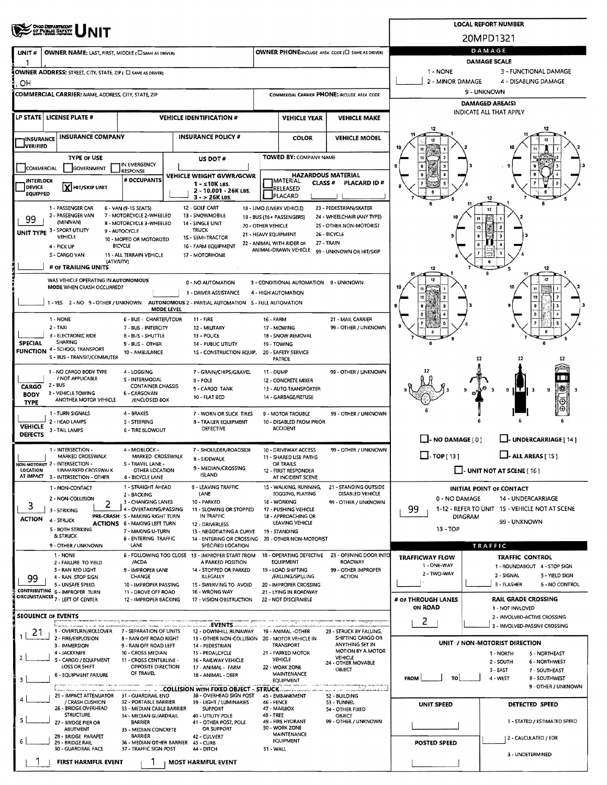## **SERRE UNIT**

**OWNER NAME: LAST, FIRST, MIDDLE (CI SAME AS DRIVER)** 

OWNER ADDRESS: STREET, CITY, STATE, ZIP ( I SAME AS DRIVER)

UNIT#

 $\mathbf{1}$  $\overline{1}$ 

FIRST HARMFUL EVENT

1

**MOST HARMFUL EVENT** 

**OWNER PHONE: AREA CODE (E)** SAME AS DRIVER)



**LOCAL REPORT NUMBER** 

1 - NONE

3 - FUNCTIONAL DAMAGE

3 - UNDETERMINED

9 - OTHER / UNKNOWN

**CONNING BANAGE** 4 - DISABLING DAMAGE

| OН                            |                                                                                       |                                                           |                                                                                          |                                            |                                                         |                                                 | 2 - MINOR DAMAGE         | 4 - DISABLING DAMAGE                                          |
|-------------------------------|---------------------------------------------------------------------------------------|-----------------------------------------------------------|------------------------------------------------------------------------------------------|--------------------------------------------|---------------------------------------------------------|-------------------------------------------------|--------------------------|---------------------------------------------------------------|
|                               | COMMERCIAL CARRIER: NAME, ADDRESS, CITY, STATE, ZIP                                   |                                                           |                                                                                          |                                            |                                                         | COMMERCIAL CARRIER PHONE: INCLUDE AREA CODE     |                          | 9 - UNKNOWN                                                   |
|                               |                                                                                       |                                                           |                                                                                          |                                            |                                                         |                                                 |                          | <b>DAMAGED AREA(S)</b>                                        |
|                               | LP STATE   LICENSE PLATE #                                                            |                                                           | <b>VEHICLE IDENTIFICATION #</b>                                                          |                                            | <b>VEHICLE YEAR</b>                                     | <b>VEHICLE MAKE</b>                             |                          | INDICATE ALL THAT APPLY                                       |
| <b>INSURANCE</b><br>JVERIFIED | <b>INSURANCE COMPANY</b>                                                              |                                                           | <b>INSURANCE POLICY #</b>                                                                |                                            | <b>COLOR</b>                                            | <b>VEHICLE MODEL</b>                            |                          |                                                               |
|                               | <b>TYPE OF USE</b>                                                                    |                                                           | US DOT#                                                                                  |                                            | <b>TOWED BY: COMPANY NAME</b>                           |                                                 |                          |                                                               |
| COMMERCIAL                    | GOVERNMENT                                                                            | IN EMERGENCY<br>RESPONSE                                  |                                                                                          |                                            |                                                         |                                                 | 9                        |                                                               |
| INTERLOCK                     |                                                                                       | # OCCUPANTS                                               | VEHICLE WEIGHT GVWR/GCWR                                                                 |                                            | <b>HAZARDOUS MATERIAL</b><br> MATERIAL<br><b>CLASS#</b> | PLACARD ID#                                     |                          |                                                               |
| <b>DEVICE</b><br>EQUIPPED     | X HIT/SKIP UNIT                                                                       |                                                           | $1 - s10K$ LBS.<br>2 - 10.001 - 26K LBS.                                                 |                                            | RELEASED                                                |                                                 |                          |                                                               |
|                               |                                                                                       |                                                           | $3 - 26K$ LBS.                                                                           |                                            | PLACARD                                                 |                                                 |                          |                                                               |
|                               | 1 - PASSENGER CAR                                                                     | 6 - VAN (9-15 SEATS)                                      | 12 - GOLF CART                                                                           |                                            | 18 - LIMO (LIVERY VEHICLE)                              | 23 - PEDESTRIAN/SKATER                          |                          | 12                                                            |
| 99                            | 2 - PASSENGER VAN<br>(MINIVAN)                                                        | 7 - MOTORCYCLE 2-WHEELED<br>8 - MOTORCYCLE 3-WHEELED      | 13 - SNOWMOBILE<br>14 - SINGLE UNIT                                                      |                                            | 19 - BUS (16+ PASSENGERS)                               | 24 - WHEELCHAIR (ANY TYPE)                      | 10                       | 11                                                            |
|                               | UNIT TYPE 3 - SPORT UTILITY                                                           | 9 - AUTOCYCLE                                             | <b>TRUCK</b>                                                                             | 20 - OTHER VEHICLE<br>21 - HEAVY EQUIPMENT |                                                         | 25 - OTHER NON-MOTORIST<br>26 - BICYCLE         |                          | 10<br>9                                                       |
|                               | VEHICLE<br>4 - PICK UP                                                                | 10 - MOPED OR MOTORIZED<br><b>BICACTE</b>                 | 15 - SEMI-TRACTOR<br>16 - FARM EQUIPMENT                                                 |                                            | 22 - ANIMAL WITH RIDER OR                               | 27 - TRAIN                                      |                          | ŝ                                                             |
|                               | S - CARGO VAN                                                                         | 11 - ALL TERRAIN VEHICLE                                  | 17 - MOTORHOME                                                                           |                                            | ANIMAL-DRAWN VEHICLE                                    | 99 - UNKNOWN OR HIT/SKIP                        |                          | 7<br>m                                                        |
|                               | (ATV/UTV)<br># OF TRAILING UNITS                                                      |                                                           |                                                                                          |                                            |                                                         |                                                 |                          | 6<br>12                                                       |
|                               |                                                                                       |                                                           |                                                                                          |                                            |                                                         |                                                 |                          | 12                                                            |
|                               | WAS VEHICLE OPERATING IN AUTONOMOUS<br>MODE WHEN CRASH OCCURRED?                      |                                                           | 0 - NO AUTOMATION                                                                        |                                            | 3 - CONDITIONAL AUTOMATION 9 - UNKNOWN                  |                                                 |                          |                                                               |
|                               |                                                                                       |                                                           | 1 - DRIVER ASSISTANCE                                                                    |                                            | 4 - HIGH AUTOMATION                                     |                                                 |                          | 10                                                            |
|                               |                                                                                       | <b>MODE LEVEL</b>                                         | 1 - YES 2 - NO 9 - OTHER / UNKNOWN AUTONOMOUS 2 - PARTIAL AUTOMATION 5 - FULL AUTOMATION |                                            |                                                         |                                                 |                          |                                                               |
|                               | 1 - NONE                                                                              | 6 - BUS - CHARTER/TOUR                                    | 11 - FIRE                                                                                | 16 - FARM                                  |                                                         | 21 - MAIL CARRIER                               |                          |                                                               |
|                               | $2 - TAXI$                                                                            | 7 - BUS - INTERCITY                                       | 12 - MILITARY                                                                            |                                            | 17 - MOWING                                             | 99 - OTHER / UNKNOWN                            |                          |                                                               |
| <b>SPECIAL</b>                | 3 - ELECTRONIC RIDE<br><b>SHARING</b>                                                 | 8 - BUS - SHUTTLE                                         | 13 - POLICE                                                                              |                                            | 18 - SNOW REMOVAL                                       |                                                 |                          |                                                               |
|                               | <b>FUNCTION 4 - SCHOOL TRANSPORT</b>                                                  | 9 - BUS - OTHER<br>10 - AMBULANCE                         | 14 - PUBLIC UTILITY<br>15 - CONSTRUCTION EQUIP.                                          |                                            | 19 - TOWING<br>20 - SAFETY SERVICE                      |                                                 |                          |                                                               |
|                               | S - BUS - TRANSIT/COMMUTER                                                            |                                                           |                                                                                          |                                            | <b>PATROL</b>                                           |                                                 |                          | 12<br>12<br>17                                                |
|                               | 1 - NO CARGO BODY TYPE                                                                | 4 - LOGGING                                               | 7 - GRAIN/CHIPS/GRAVEL                                                                   | 11 - DUMP                                  |                                                         | 99 - OTHER / UNKNOWN                            |                          |                                                               |
| <b>CARGO</b>                  | / NOT APPLICABLE<br>$2 - 8US$                                                         | S - INTERMODAL<br>CONTAINER CHASSIS                       | <b>B-POLE</b>                                                                            |                                            | 12 - CONCRETE MIXER                                     |                                                 |                          |                                                               |
| <b>BODY</b>                   | 3 - VEHICLE TOWING                                                                    | 6 - CARGOVAN                                              | 9 - CARGO TANK<br>10 - FLAT BED                                                          |                                            | 13 - AUTO TRANSPORTER<br>14 - GARBAGE/REFUSE            |                                                 |                          | ₩<br>9<br>9<br>-3                                             |
| <b>TYPE</b>                   | ANOTHER MOTOR VEHICLE                                                                 | /ENCLOSED BOX                                             |                                                                                          |                                            |                                                         |                                                 |                          | ⊕∣                                                            |
|                               | 1 - TURN SIGNALS                                                                      | 4 - BRAKES                                                | 7 - WORN OR SLICK TIRES                                                                  |                                            | 9 - MOTOR TROUBLE                                       | 99 - OTHER / UNKNOWN                            |                          |                                                               |
| <b>VEHICLE</b>                | 2 - HEAD LAMPS<br>3 - TAIL LAMPS                                                      | S - STEERING<br><b>6 - TIRE BLOWOUT</b>                   | 8 - TRAILER EQUIPMENT<br><b>DEFECTIVE</b>                                                |                                            | 10 - DISABLED FROM PRIOR<br><b>ACCIDENT</b>             |                                                 |                          |                                                               |
| <b>DEFECTS</b>                |                                                                                       |                                                           |                                                                                          |                                            |                                                         |                                                 | $\Box$ - NO DAMAGE [ 0 ] | U-UNDERCARRIAGE [ 14 ]                                        |
|                               | 1 - INTERSECTION -                                                                    | 4 - MIDBLOCK -                                            | 7 - SHOULDER/ROADSIDE                                                                    |                                            | 10 - DRIVEWAY ACCESS                                    | 99 - OTHER / UNKNOWN                            |                          |                                                               |
|                               | <b>MARKED CROSSWALK</b>                                                               | MARKED CROSSWALK<br>S - TRAVEL LANE -                     | <b>B-SIDEWALK</b>                                                                        |                                            | 11 - SHARED USE PATHS                                   |                                                 | $\Box$ -TOP[13]          | $\Box$ - ALL AREAS [ 15 ]                                     |
| LOCATION                      | NON-MOTORIST 2 - INTERSECTION -<br><b>UNMARKED CROSSWALK</b>                          | OTHER LOCATION                                            | 9 - MEDIAN/CROSSING                                                                      |                                            | OR TRAILS<br>12 - FIRST RESPONDER                       |                                                 |                          | UNIT NOT AT SCENE [ 16 ]                                      |
| AT IMPACT                     | 3 - INTERSECTION - OTHER                                                              | 6 - BICYCLE LANE                                          | <b>ISLAND</b>                                                                            |                                            | AT INCIDENT SCENE                                       |                                                 |                          |                                                               |
|                               | 1 - NON-CONTACT                                                                       | 1 - STRAIGHT AHEAD<br>2 - BACKING                         | 9 - LEAVING TRAFFIC<br>LANE                                                              |                                            | 15 - WALKING, RUNNING,<br>JOGGING, PLAYING              | 21 - STANDING OUTSIDE<br>DISABLED VEHICLE       |                          | <b>INITIAL POINT OF CONTACT</b>                               |
| 3                             | 2 - NON-COLLISION                                                                     | 3 - CHANGING LANES                                        | 10 - PARKED                                                                              |                                            | 16 - WORKING                                            | 99 - OTHER / UNKNOWN                            | 0 - NO DAMAGE            | 14 - UNDERCARRIAGE                                            |
|                               | 3 - STRIKING                                                                          | 4 - OVERTAKING/PASSING<br>PRE-CRASH 5 - MAKING RIGHT TURN | 11 - SLOWING OR STOPPED<br>IN TRAFFIC                                                    |                                            | 17 - PUSHING VEHICLE<br>18 - APPROACHING OR             |                                                 | 99<br><b>DIAGRAM</b>     | 1-12 - REFER TO UNIT 15 - VEHICLE NOT AT SCENE                |
| <b>ACTION</b>                 | 4 - STRUCK                                                                            | <b>ACTIONS</b> 6 - MAKING LEFT TURN                       | 12 - DRIVERLESS                                                                          |                                            | LEAVING VEHICLE                                         |                                                 |                          | 99 - UNKNOWN                                                  |
|                               | <b>S - BOTH STRIKING</b><br>& STRUCK                                                  | 7 - MAKING U-TURN<br><b>8 - ENTERING TRAFFIC</b>          | 13 - NEGOTIATING A CURVE                                                                 | 19 - STANDING                              |                                                         |                                                 | $13 - TOP$               |                                                               |
|                               | 9 - OTHER / UNKNOWN                                                                   | LANE                                                      | 14 - ENTERING OR CROSSING 20 - OTHER NON-MOTORIST<br>SPECIFIED LOCATION                  |                                            |                                                         |                                                 |                          | <b>TRAFFIC</b>                                                |
|                               | 1 - NONE                                                                              |                                                           | B - FOLLOWING TOO CLOSE 13 - IMPROPER START FROM                                         |                                            |                                                         | 18 - OPERATING DEFECTIVE 23 - OPENING DOOR INTO | <b>TRAFFICWAY FLOW</b>   | <b>TRAFFIC CONTROL</b>                                        |
|                               | 2 - FAILURE TO YIELD<br>3 - RAN RED LIGHT                                             | /ACDA<br>9 - IMPROPER LANE                                | A PARKED POSITION<br>14 - STOPPED OR PARKED                                              |                                            | EQUIPMENT<br>19 - LOAD SHIFTING                         | <b>ROADWAY</b><br>99 - OTHER IMPROPER           | 1 - ONE-WAY              | 1 - ROUNDABOUT 4 - STOP SIGN                                  |
| 99                            | 4 - RAN STOP SIGN                                                                     | <b>CHANGE</b>                                             | <b>ILLEGALLY</b>                                                                         |                                            | /FALLING/SPILLING                                       | <b>ACTION</b>                                   | 2 - TWO-WAY              | 2 - SIGNAL<br>5 - YIELD SIGN                                  |
|                               | 5 - UNSAFE SPEED<br>CONTRIBUTING 6 - IMPROPER TURN                                    | 10 - IMPROPER PASSING<br>11 - DROVE OFF ROAD              | 15 - SWERVING TO AVOID<br>16 - WRONG WAY                                                 |                                            | 20 - IMPROPER CROSSING<br>21 - LYING IN ROADWAY         |                                                 |                          | 3 - FLASHER<br>6 - NO CONTROI                                 |
|                               | CIRCUMSTANCES 7 - LEFT OF CENTER                                                      | 12 - IMPROPER BACKING                                     | 17 - VISION OBSTRUCTION                                                                  |                                            | 22 - NOT DISCERNIBLE                                    |                                                 | # OF THROUGH LANES       | <b>RAIL GRADE CROSSING</b>                                    |
|                               |                                                                                       |                                                           |                                                                                          |                                            |                                                         |                                                 | ON ROAD                  | 1 - NOT INVLOVED                                              |
|                               | <b>SEOUENCE OF EVENTS</b>                                                             |                                                           | <b>EVENTS.</b>                                                                           |                                            |                                                         |                                                 | 2                        | 2 - INVOLVED-ACTIVE CROSSING<br>3 - INVOLVED-PASSIVE CROSSING |
| 21<br>1 l                     | 1 - OVERTURN/ROLLOVER                                                                 | 7 - SEPARATION OF UNITS                                   | 12 - DOWNHILL RUNAWAY                                                                    |                                            | 19 - ANIMAL -OTHER                                      | 23 - STRUCK BY FALLING,                         |                          |                                                               |
|                               | 2 - FIRE/EXPLOSION<br>3 - IMMERSION                                                   | <b>B - RAN OFF ROAD RIGHT</b><br>9 - RAN OFF ROAD LEFT    | 13 - OTHER NON-COLLISION 20 - MOTOR VEHICLE IN<br>14 - PEDESTRIAN                        |                                            | TRANSPORT                                               | SHIFTING CARGO OR<br>ANYTHING SET IN            |                          | UNIT / NON-MOTORIST DIRECTION                                 |
|                               | 4 - JACKKNIFE                                                                         | 10 - CROSS MEDIAN                                         | 15 - PEDALCYCLE                                                                          |                                            | 21 - PARKED MOTOR                                       | MOTION BY A MOTOR<br>VEHICLE                    |                          | 1 - NORTH<br>5 - NORTHEAST                                    |
|                               | S - CARGO / EQUIPMENT<br>LOSS OR SHIFT                                                | 11 - CROSS CENTERLINE -<br>OPPOSITE DIRECTION             | 16 - RAILWAY VEHICLE<br>17 - ANIMAL - FARM                                               |                                            | VEHICLE<br>22 - WORK ZONE                               | 24 - OTHER MOVABLE                              |                          | 6 - NORTHWEST<br>2 - SOUTH                                    |
|                               | <b>6 - EQUIPMENT FAILURE</b>                                                          | OF TRAVEL                                                 | 18 - ANIMAL - DEER                                                                       |                                            | <b>MAINTENANCE</b>                                      | OBJECT                                          | <b>FROM</b><br>TO        | $3 - EAST$<br>7 - SOUTHEAST<br>4 - WEST<br><b>B-SOUTHWEST</b> |
|                               | والمستحقق والاستراكات وموالي أوروبا والمهيدان عيندا مارست ومستدعات المتعاطف والمتوارد |                                                           |                                                                                          |                                            | <b>EQUIPMENT</b>                                        | a <del>n ang</del> ang manatana                 |                          | 9 - OTHER / UNKNOW                                            |
|                               | 25 - IMPACT ATTENUATOR 31 - GUARDRAIL END                                             |                                                           | 38 - OVERHEAD SIGN POST                                                                  |                                            | 45 - EMBANKMENT                                         | 52 - BUILDING                                   |                          |                                                               |
|                               | / CRASH CUSHION<br>26 - BRIDGE OVERHEAD                                               | 32 - PORTABLE BARRIER<br>33 - MEDIAN CABLE BARRIER        | 39 - LIGHT / LUMINARIES<br><b>SUPPORT</b>                                                | 46 - FENCE                                 | 47 - MAILBOX                                            | 53 - TUNNEL<br>54 - OTHER FIXED                 | UNIT SPEED               | DETECTED SPEED                                                |
|                               | <b>STRUCTURE</b><br>27 - BRIDGE PIER OR                                               | 34 - MEDIAN GUARDRAIL<br><b>BARRIER</b>                   | 40 - UTILITY POLE<br>41 - OTHER POST, POLE                                               | 48 - TREE                                  | 49 - FIRE HYDRANT                                       | OBJECT<br>99 - OTHER / UNKNOWN                  |                          | 1 - STATED / ESTIMATED SPEED                                  |
|                               | <b>ABUTMENT</b>                                                                       | 35 - MEDIAN CONCRETE                                      | OR SUPPORT                                                                               |                                            | 50 - WORK ZONE                                          |                                                 |                          |                                                               |
|                               | 28 - BRIDGE PARAPET<br>29 - BRIDGE RAIL                                               | <b>BARRIER</b>                                            | 42 - CULVERT<br>36 - MEDIAN OTHER BARRIER 43 - CURB                                      |                                            | <b>MAINTENANCE</b><br>EQUIPMENT                         |                                                 | <b>POSTED SPEED</b>      | 2 - CALCULATED / EDR                                          |
|                               | 30 - GUARDRAIL FACE                                                                   | 37 - TRAFFIC SIGN POST                                    | 44 - DITCH                                                                               | 51 - WALL                                  |                                                         |                                                 |                          | <b>3 UNDETERMINED</b>                                         |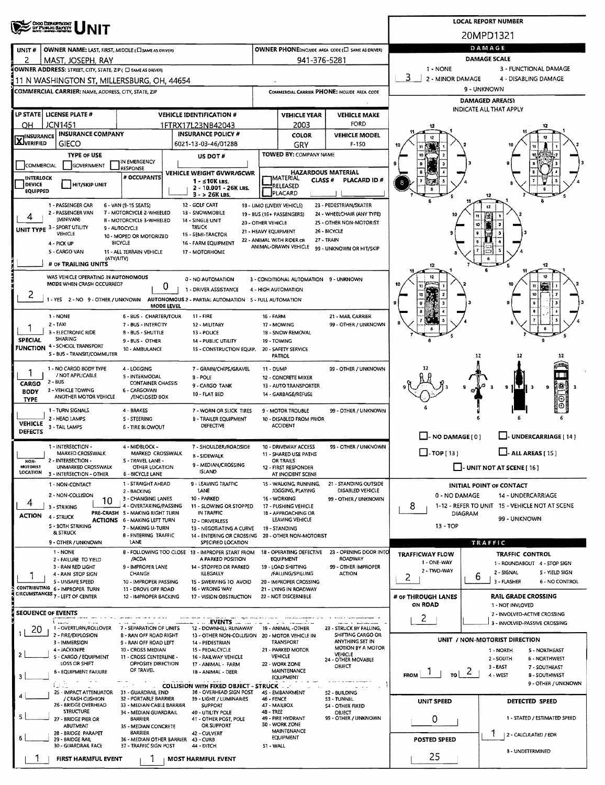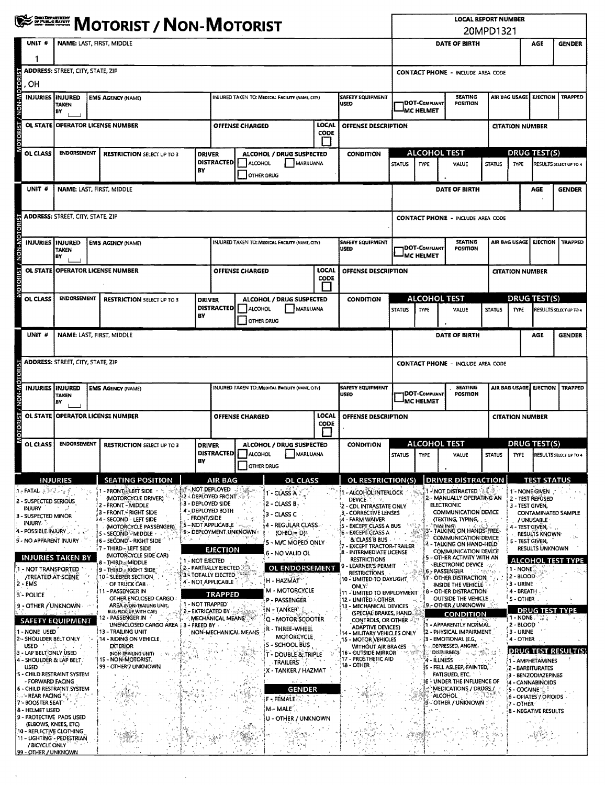|                                                                                                                                                                                                                                                                                                | <b>WE DESCRIPT / NON-MOTORIST</b>                       |                                                                                                                                                                                                                                                                     |                                    |                                                                                                                                                       |                                        |                                                                                                                                     |                      |                                                                                                                                                                                                                                                          |                      | <b>LOCAL REPORT NUMBER</b><br>20MPD1321                                       |                                                                                                                                                                                                                                             |                        |                                                               |                                                                                                                                         |                                    |  |
|------------------------------------------------------------------------------------------------------------------------------------------------------------------------------------------------------------------------------------------------------------------------------------------------|---------------------------------------------------------|---------------------------------------------------------------------------------------------------------------------------------------------------------------------------------------------------------------------------------------------------------------------|------------------------------------|-------------------------------------------------------------------------------------------------------------------------------------------------------|----------------------------------------|-------------------------------------------------------------------------------------------------------------------------------------|----------------------|----------------------------------------------------------------------------------------------------------------------------------------------------------------------------------------------------------------------------------------------------------|----------------------|-------------------------------------------------------------------------------|---------------------------------------------------------------------------------------------------------------------------------------------------------------------------------------------------------------------------------------------|------------------------|---------------------------------------------------------------|-----------------------------------------------------------------------------------------------------------------------------------------|------------------------------------|--|
| UNIT #                                                                                                                                                                                                                                                                                         | <b>NAME: LAST, FIRST, MIDDLE</b>                        |                                                                                                                                                                                                                                                                     |                                    |                                                                                                                                                       |                                        |                                                                                                                                     |                      |                                                                                                                                                                                                                                                          |                      | <b>DATE OF BIRTH</b>                                                          |                                                                                                                                                                                                                                             |                        |                                                               | AGE                                                                                                                                     | <b>GENDER</b>                      |  |
|                                                                                                                                                                                                                                                                                                | <b>ADDRESS: STREET, CITY, STATE, ZIP</b>                |                                                                                                                                                                                                                                                                     |                                    |                                                                                                                                                       |                                        |                                                                                                                                     |                      |                                                                                                                                                                                                                                                          |                      |                                                                               | <b>CONTACT PHONE - INCLUDE AREA CODE</b>                                                                                                                                                                                                    |                        |                                                               |                                                                                                                                         |                                    |  |
| <b>OTORIST / NON-MOTOR</b><br>, OH<br><b>INJURIES IINJURED</b>                                                                                                                                                                                                                                 | TAKEN                                                   | <b>EMS AGENCY (NAME)</b><br>INJURED TAKEN TO: MEDICAL FACILITY (NAME, CITY)                                                                                                                                                                                         |                                    |                                                                                                                                                       |                                        |                                                                                                                                     |                      | <b>SAFETY EQUIPMENT</b><br><b>USED</b>                                                                                                                                                                                                                   |                      | <b>SEATING</b><br><b>DOT-COMPLIANT</b><br><b>POSITION</b>                     |                                                                                                                                                                                                                                             |                        | <b>AIR BAG USAGE</b>                                          |                                                                                                                                         | <b>EJECTION   TRAPPED</b>          |  |
|                                                                                                                                                                                                                                                                                                | B٧<br>OL STATE OPERATOR LICENSE NUMBER                  |                                                                                                                                                                                                                                                                     |                                    |                                                                                                                                                       | <b>LOCAL</b><br><b>OFFENSE CHARGED</b> |                                                                                                                                     |                      | OFFENSE DESCRIPTION                                                                                                                                                                                                                                      |                      | MC HELMET                                                                     |                                                                                                                                                                                                                                             | <b>CITATION NUMBER</b> |                                                               |                                                                                                                                         |                                    |  |
|                                                                                                                                                                                                                                                                                                |                                                         |                                                                                                                                                                                                                                                                     |                                    |                                                                                                                                                       | <b>CODE</b>                            |                                                                                                                                     |                      |                                                                                                                                                                                                                                                          |                      | <b>ALCOHOL TEST</b>                                                           |                                                                                                                                                                                                                                             |                        |                                                               |                                                                                                                                         |                                    |  |
| OL CLASS                                                                                                                                                                                                                                                                                       | <b>ENDORSEMENT</b><br><b>RESTRICTION SELECT UP TO 3</b> |                                                                                                                                                                                                                                                                     | <b>DRIVER</b><br>BY                | ALCOHOL / DRUG SUSPECTED<br>DISTRACTED<br><b>ALCOHOL</b><br>MARIJUANA                                                                                 |                                        |                                                                                                                                     |                      | <b>CONDITION</b>                                                                                                                                                                                                                                         | <b>STATUS</b>        | <b>TYPE</b>                                                                   | VALUE                                                                                                                                                                                                                                       | <b>STATUS</b>          | <b>TYPE</b>                                                   | DRUG TEST(S)                                                                                                                            | RESULTS SELECT UP TO 4             |  |
| UNIT <sup>#</sup>                                                                                                                                                                                                                                                                              | NAME: LAST, FIRST, MIDDLE                               |                                                                                                                                                                                                                                                                     |                                    |                                                                                                                                                       | <b>OTHER DRUG</b>                      |                                                                                                                                     |                      |                                                                                                                                                                                                                                                          |                      |                                                                               | DATE OF BIRTH                                                                                                                                                                                                                               |                        |                                                               | AGE                                                                                                                                     | <b>GENDER</b>                      |  |
|                                                                                                                                                                                                                                                                                                | <b>ADDRESS: STREET, CITY, STATE, ZIP</b>                |                                                                                                                                                                                                                                                                     |                                    |                                                                                                                                                       |                                        |                                                                                                                                     |                      |                                                                                                                                                                                                                                                          |                      | <b>CONTACT PHONE - INCLUDE AREA CODE</b>                                      |                                                                                                                                                                                                                                             |                        |                                                               |                                                                                                                                         |                                    |  |
|                                                                                                                                                                                                                                                                                                |                                                         |                                                                                                                                                                                                                                                                     |                                    |                                                                                                                                                       |                                        |                                                                                                                                     |                      |                                                                                                                                                                                                                                                          |                      |                                                                               |                                                                                                                                                                                                                                             |                        |                                                               |                                                                                                                                         |                                    |  |
| <b>JON-MON</b><br><b>INJURIES</b>                                                                                                                                                                                                                                                              | <b>INJURED</b><br><b>TAKEN</b><br>BY                    | <b>EMS AGENCY (NAME)</b>                                                                                                                                                                                                                                            |                                    |                                                                                                                                                       |                                        | INJURED TAKEN TO: MEDICAL FACILITY (NAME, CITY)                                                                                     |                      | <b>SAFETY EQUIPMENT</b><br>USED                                                                                                                                                                                                                          |                      | <b>SEATING</b><br><b>DOT-COMPLIANT</b><br><b>POSITION</b><br><b>MC HELMET</b> |                                                                                                                                                                                                                                             |                        | AIR BAG USAGE<br><b>EJECTION</b>                              |                                                                                                                                         | <b>TRAPPED</b>                     |  |
| <b>OL STATE</b>                                                                                                                                                                                                                                                                                |                                                         | <b>OPERATOR LICENSE NUMBER</b>                                                                                                                                                                                                                                      |                                    |                                                                                                                                                       | <b>OFFENSE CHARGED</b>                 |                                                                                                                                     | LOCAL<br><b>CODE</b> | <b>OFFENSE DESCRIPTION</b>                                                                                                                                                                                                                               |                      |                                                                               |                                                                                                                                                                                                                                             |                        | <b>CITATION NUMBER</b>                                        |                                                                                                                                         |                                    |  |
| OL CLASS                                                                                                                                                                                                                                                                                       | ENDORSEMENT                                             | <b>RESTRICTION SELECT UP TO 3</b>                                                                                                                                                                                                                                   | <b>DRIVER</b>                      |                                                                                                                                                       |                                        | ALCOHOL / DRUG SUSPECTED                                                                                                            |                      | <b>CONDITION</b>                                                                                                                                                                                                                                         |                      |                                                                               | <b>ALCOHOL TEST</b>                                                                                                                                                                                                                         |                        |                                                               | DRUG TEST(S)                                                                                                                            |                                    |  |
|                                                                                                                                                                                                                                                                                                | BY                                                      |                                                                                                                                                                                                                                                                     |                                    | <b>DISTRACTED</b><br>MARLIUANA<br><b>ALCOHOL</b><br>OTHER DRUG                                                                                        |                                        |                                                                                                                                     |                      |                                                                                                                                                                                                                                                          | <b>STATUS</b>        | TYPE                                                                          | VALUE                                                                                                                                                                                                                                       | <b>STATUS</b>          | <b>TYPE</b>                                                   |                                                                                                                                         | RESULTS SELECT UP TO 4             |  |
| UNIT #                                                                                                                                                                                                                                                                                         |                                                         | NAME: LAST, FIRST, MIDDLE                                                                                                                                                                                                                                           |                                    |                                                                                                                                                       |                                        |                                                                                                                                     |                      |                                                                                                                                                                                                                                                          | DATE OF BIRTH<br>AGE |                                                                               |                                                                                                                                                                                                                                             |                        |                                                               | <b>GENDER</b>                                                                                                                           |                                    |  |
|                                                                                                                                                                                                                                                                                                | <b>ADDRESS:</b> STREET, CITY, STATE, ZIP                |                                                                                                                                                                                                                                                                     |                                    |                                                                                                                                                       |                                        |                                                                                                                                     |                      |                                                                                                                                                                                                                                                          |                      |                                                                               | <b>CONTACT PHONE - INCLUDE AREA CODE</b>                                                                                                                                                                                                    |                        |                                                               |                                                                                                                                         |                                    |  |
| NON-MOTO<br><b>INJURIES INJURED</b>                                                                                                                                                                                                                                                            | <b>TAKEN</b>                                            | <b>EMS AGENCY (NAME)</b>                                                                                                                                                                                                                                            |                                    |                                                                                                                                                       |                                        | INJURED TAKEN TO: MEDICAL FACILITY (NAME, CITY)                                                                                     |                      | <b>SAFETY EQUIPMENT</b><br>USED                                                                                                                                                                                                                          |                      | DOT-COMPLIANT                                                                 | <b>SEATING</b><br>POSITION                                                                                                                                                                                                                  |                        |                                                               |                                                                                                                                         | AIR BAG USAGE   EJECTION   TRAPPED |  |
| 7 LSI                                                                                                                                                                                                                                                                                          | B٧                                                      | OL STATE OPERATOR LICENSE NUMBER                                                                                                                                                                                                                                    |                                    | LOCAL<br><b>OFFENSE CHARGED</b>                                                                                                                       |                                        |                                                                                                                                     |                      | OFFENSE DESCRIPTION                                                                                                                                                                                                                                      |                      | <sup>I</sup> MC HELMET                                                        |                                                                                                                                                                                                                                             |                        | <b>CITATION NUMBER</b>                                        |                                                                                                                                         |                                    |  |
| orok                                                                                                                                                                                                                                                                                           |                                                         |                                                                                                                                                                                                                                                                     |                                    |                                                                                                                                                       |                                        |                                                                                                                                     | <b>CODE</b>          |                                                                                                                                                                                                                                                          | <b>ALCOHOL TEST</b>  |                                                                               |                                                                                                                                                                                                                                             |                        | DRUG TEST(S)                                                  |                                                                                                                                         |                                    |  |
| OL CLASS                                                                                                                                                                                                                                                                                       | <b>ENDORSEMENT</b>                                      | <b>RESTRICTION SELECT UP TO 3</b>                                                                                                                                                                                                                                   | <b>DRIVER</b><br>BΥ                |                                                                                                                                                       | DISTRACTED   ALCOHOL<br>OTHER DRUG     | ALCOHOL / DRUG SUSPECTED<br>MARUUANA                                                                                                |                      | <b>CONDITION</b>                                                                                                                                                                                                                                         | <b>STATUS</b>        | <b>TYPE</b>                                                                   | VALUE                                                                                                                                                                                                                                       | <b>STATUS</b>          | <b>TYPE</b>                                                   |                                                                                                                                         | RESULTS SELECT UP TO 4             |  |
|                                                                                                                                                                                                                                                                                                | INJURIES                                                | <b>SEATING POSITION</b>                                                                                                                                                                                                                                             |                                    | <b>AIR BAG</b>                                                                                                                                        |                                        | OL CLASS                                                                                                                            |                      | OL RESTRICTION(S)                                                                                                                                                                                                                                        |                      |                                                                               | <b>DRIVER DISTRACTION</b>                                                                                                                                                                                                                   |                        |                                                               | <b>TEST STATUS</b>                                                                                                                      |                                    |  |
| ્રાન્ FATAL ક્∛ેરેન્દ્∮<br>2 - SUSPECTED SERIOUS<br><b>INJURY</b><br>3 - SUSPECTED MINOR<br><b>INJURY</b><br>4 - POSSIBLE INJURY "<br>5 - NO APPARENT INJURY                                                                                                                                   |                                                         | 1 - FRONT ELEFT SIDE<br>(MOTORCYCLE DRIVER)<br>2 - FRONT - MIDDLE<br>3 - FRONT - RIGHT SIDE<br>4 - SECOND - LEFT SIDE<br>(MOTORCYCLE PASSENGER)<br>5 - SECOND <sup>2</sup> MIDDLE<br>$\mathcal{A}_1$<br>6 - SECOND <sup>%</sup> RIGHT SIDE<br>7 - THIRD - LEFT SIDE | <b>FRONT/SIDE</b>                  | 1 - NOT DEPLOYED<br>2 - DEPLOYED FRONT<br>3 - DEPLOYED SIDE<br>4'- DEPLOYED BOTH<br>5 - NOT APPLICABLE 1<br>9 - DEPLOYMENT UNKNOWN<br><b>EJECTION</b> | Q.                                     | 1 - CLASS A<br>2 - CLASS B<br>3 - CLASS C<br>4 - REGULAR CLASS.<br><b>(OHIO = D)</b><br>5 - M/C MOPED ONLY<br>6 - NO VALID OL       |                      | 1 - ALCOHOL INTERLOCK<br><b>DEVICE</b><br>12.<br>- CDL INTRASTATE ONLY<br>3 - CORRECTIVE LENSES<br>4 - FARM WAIVER<br><b>IS - EXCEPT CLASS A BUS</b><br>6 - EXCEPT CLASS A<br>& CLASS B BUS<br><b>EXCEPT TRACTOR-TRAILER</b><br>8 - INTERMEDIATE LICENSE |                      | 4                                                                             | - NOT DISTRACTED<br>2 - MANUALLY OPERATING AN<br><b>ELECTRONIC</b><br>COMMUNICATION DEVICE<br>(TEXTING, TYPING,<br><b>FIMI IAI</b> N<br>3'- TALKING ON HANDS-FREE<br>COMMUNICATION DEVICE<br>- TALKING ON HAND-HELD<br>COMMUNICATION DEVICE |                        | 3 - TEST GIVEN,<br>5 - TEST GIVEN,                            | 1 - NONE GIVEN<br>2 - TEST REFÚSED<br>CONTAMINATED SAMPLE<br>/ UNUSABLE<br>4 - TEST GIVEN.<br>RESULTS KNOWN-<br><b>RESULTS UNKNOWN</b>  |                                    |  |
| 1 - NOT TRANSPORTED<br><b>/TREATED AT SCENE</b><br>2 - EMS<br>3 - POLICE                                                                                                                                                                                                                       | <b>INJURIES TAKEN BY</b>                                | (MOTORCYCLE SIDE CAR)<br>8 - Third, Middle<br>9 - THIRD - RIGHT SIDE<br>10-SLEEPER SECTION<br>OF TRUCK CAB<br>11 - PASSENGER IN<br>OTHER ENCLOSED CARGO                                                                                                             | 1 - NOT EJECTED                    | 2 - PARTIALLY EJECTED<br>3 - TOTALLY EJECTED<br>4 - NOT APPLICABLE<br><b>TRAPPED</b>                                                                  |                                        | OL ENDORSEMENT<br>H - HAZMAT<br>M - MOTORCYCLE<br>P - PASSENGER                                                                     |                      | <b>RESTRICTIONS</b><br><b>LEARNER'S PERMIT</b><br><b>RESTRICTIONS</b><br>10 - UMITED TO DAYLIGHT<br><b>ONLY</b><br>11 - LIMITED TO EMPLOYMENT<br>12 - LIMITED - OTHER                                                                                    |                      |                                                                               | - OTHER ACTIVITY WITH AN<br><b>-ELECTRONIC DEVICE</b><br><b>6 - PASSENGER</b><br>7 - OTHER DISTRACTION<br>INSIDE THE VEHICLE<br><b>8 - OTHER DISTRACTION</b><br><b>OUTSIDE THE VEHICLE</b>                                                  |                        | 1 - NONE<br>2 - BLOOD<br>3 - URINE<br>4 - BREATH<br>5 - OTHER |                                                                                                                                         | <b>ALCOHOL TEST TYPE</b>           |  |
| 9 - OTHER / UNKNOWN<br>1 - NONE USED<br>2 - SHOULDER BELT ONLY<br>USED <b>And State</b><br>3 - LAP BELT ONLY USED                                                                                                                                                                              | వం క<br><b>SAFETY EQUIPMENT</b>                         | AREA (NON-TRAILING UNIT,<br>BUS, PICK-UP WITH CAP)<br>2 PASSENGER IN<br>UNENCLOSED CARGO AREA 3<br><b>13 - TRAILING UNIT</b><br>14 - RIDING ON VEHICLE<br><b>EXTERIOR</b><br>(NON-TRAILING UNIT)                                                                    | 1 - NOT TRAPPED<br>$\div$ FREED BY | 2- EXTRICATED BY<br>MECHANICAL MEANS<br>NON-MECHANICAL MEANS                                                                                          |                                        | <b>N - TANKER</b><br>{Q - MOTOR SCOOTER<br>R - THREE-WHEEL<br><b>MOTORCYCLE</b><br>S - SCHOOL BUS<br><b>T - DOUBLE &amp; TRIPLE</b> |                      | 13 - MECHANICAL DEVICES<br>(SPECIAL BRAKES, HAND.<br><b>CONTROLS, OR OTHER ALM</b><br><b>ADAPTIVE DEVICES)</b><br>14 - MILITARÝ VEHICLES ONLY<br>15 - MOTOR VEHICLES<br>WITHOUT AIR BRAKES<br>16 - OUTSIDE MIRROR                                        |                      |                                                                               | <b>9 - OTHER / UNKNOWN</b><br><b>CONDITION</b><br>- APPARENTLY NORMAL<br>2 - PHYSICAL IMPAIRMENT<br>3 - EMOTIONAL (E.G.<br>DEPRESSED, ANGRY,<br>DISTURBED) (2009)                                                                           |                        | $1 - \text{NONE}$<br>2 - BLOOD<br>3 - URINE<br>4 - OTHER      | <b>DRUG TEST TYPE</b>                                                                                                                   | <b>DRUG TEST RESULT(S)</b>         |  |
| 4 - SHOULDER & LAP BELT.<br><b>USED</b><br>5 - CHILD RESTRAINT SYSTEM<br>- FORWARD FACING<br>6 - CHILD RESTRAINT SYSTEM<br>- REAR FACING<br>7 - BOOSTER SEAT<br>8 - HELMET LISED<br>9 - PROTECTIVE PADS USED<br>(ELBOWS, KNEES, ETC)<br>10 - REFLECTIVE CLOTHING<br>11 - LIGHTING - PEDESTRIAN |                                                         | 15 - NON-MOTORIST.<br>99 - OTHER / UNKNOWN                                                                                                                                                                                                                          |                                    |                                                                                                                                                       |                                        | <b>TRAILERS</b><br>X - TANKER / HAZMAT<br><b>GENDER</b><br><b>F-FEMALE</b><br>M - MALE<br>U - OTHER / UNKNOWN                       |                      | 17 - PROSTHETIC AID<br>18 - OTHER                                                                                                                                                                                                                        |                      |                                                                               | 4 - ILLNESS<br>S - FELL ASLEEP, FAINTED,<br><b>FATIGUED, ETC.</b><br><b>6 - UNDER THE INFLUENCE OF</b><br>MEDICATIONS / DRUGS /<br>ALCOHOL<br>9 - OTHER / UNKNOWN                                                                           |                        | 5 - COCAINE<br>7 - OTHER '                                    | 1 - AMPHETAMINES<br>2 - BARBITURATES<br>3 - BENZODIAZEPINES<br>4 - CANNABINOIDS<br>6 - OPIATES / OPIOIDS<br><b>8 - NEGATIVE RESULTS</b> |                                    |  |
| / BICYCLE ONLY<br>99 - OTHER / UNKNOWN                                                                                                                                                                                                                                                         |                                                         |                                                                                                                                                                                                                                                                     |                                    |                                                                                                                                                       |                                        |                                                                                                                                     |                      |                                                                                                                                                                                                                                                          |                      |                                                                               |                                                                                                                                                                                                                                             |                        |                                                               |                                                                                                                                         |                                    |  |

 $\bar{\gamma}$ 

 $\sim$   $\epsilon$